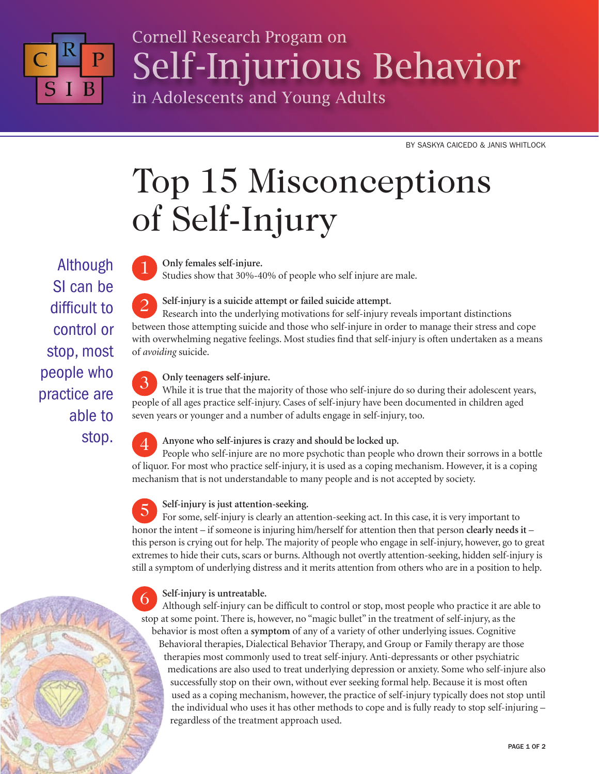

# Cornell Research Progam on Self-Injurious Behavior in Adolescents and Young Adults

BY SASKYA CAICEDO & JANIS WHITLOCK

# Top 15 Misconceptions of Self-Injury

**Only females self-injure.**

Studies show that 30%-40% of people who self injure are male.

Although SI can be difficult to control or stop, most people who practice are able to stop.



1

# Research into the underlying motivations for self-injury reveals important distinctions

**Self-injury is a suicide attempt or failed suicide attempt.**

between those attempting suicide and those who self-injure in order to manage their stress and cope with overwhelming negative feelings. Most studies find that self-injury is often undertaken as a means 2

# **Only teenagers self-injure.**

While it is true that the majority of those who self-injure do so during their adolescent years, people of all ages practice self-injury. Cases of self-injury have been documented in children aged seven years or younger and a number of adults engage in self-injury, too. 3

#### **Anyone who self-injures is crazy and should be locked up.**

People who self-injure are no more psychotic than people who drown their sorrows in a bottle of liquor. For most who practice self-injury, it is used as a coping mechanism. However, it is a coping mechanism that is not understandable to many people and is not accepted by society. 4

#### **Self-injury is just attention-seeking.**

For some, self-injury is clearly an attention-seeking act. In this case, it is very important to honor the intent – if someone is injuring him/herself for attention then that person **clearly needs it** – this person is crying out for help. The majority of people who engage in self-injury, however, go to great extremes to hide their cuts, scars or burns. Although not overtly attention-seeking, hidden self-injury is still a symptom of underlying distress and it merits attention from others who are in a position to help. 5

# **Self-injury is untreatable.**

Although self-injury can be difficult to control or stop, most people who practice it are able to stop at some point. There is, however, no "magic bullet" in the treatment of self-injury, as the behavior is most often a **symptom** of any of a variety of other underlying issues. Cognitive Behavioral therapies, Dialectical Behavior Therapy, and Group or Family therapy are those therapies most commonly used to treat self-injury. Anti-depressants or other psychiatric medications are also used to treat underlying depression or anxiety. Some who self-injure also successfully stop on their own, without ever seeking formal help. Because it is most often used as a coping mechanism, however, the practice of self-injury typically does not stop until the individual who uses it has other methods to cope and is fully ready to stop self-injuring – regardless of the treatment approach used. 6